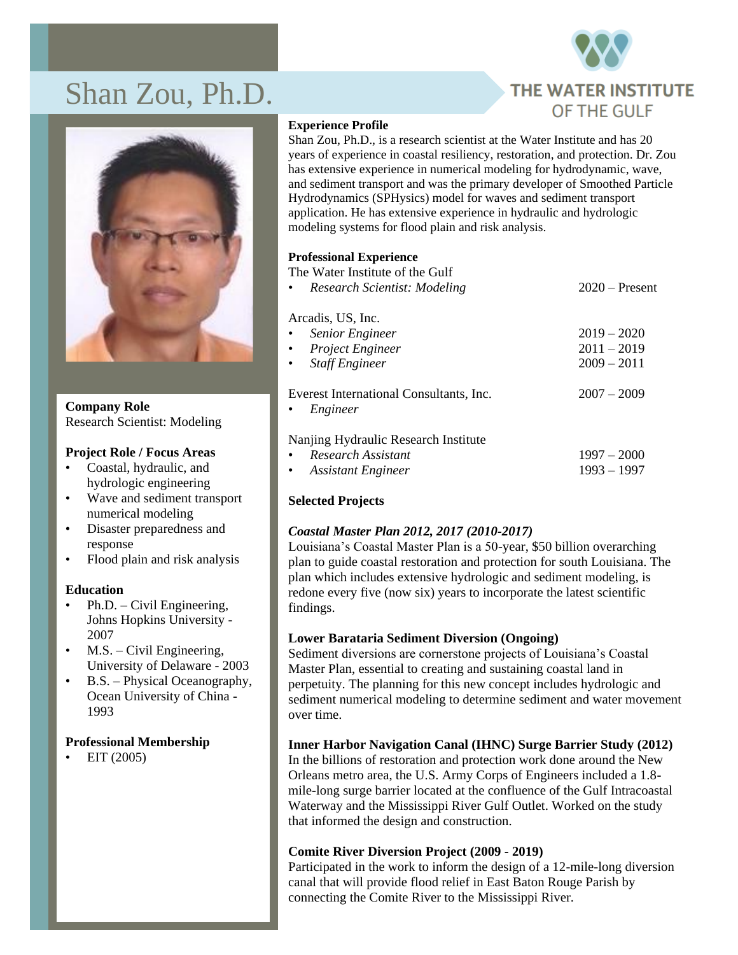# Shan Zou, Ph.D.





**Company Role** Research Scientist: Modeling

#### **Project Role / Focus Areas**

- Coastal, hydraulic, and hydrologic engineering
- Wave and sediment transport numerical modeling
- Disaster preparedness and response
- Flood plain and risk analysis

#### **Education**

- Ph.D. Civil Engineering, Johns Hopkins University - 2007
- $M.S. Civil Engineering,$ University of Delaware - 2003
- B.S. Physical Oceanography, Ocean University of China - 1993

#### **Professional Membership**

• EIT (2005)

#### **Experience Profile**

Shan Zou, Ph.D., is a research scientist at the Water Institute and has 20 years of experience in coastal resiliency, restoration, and protection. Dr. Zou has extensive experience in numerical modeling for hydrodynamic, wave, and sediment transport and was the primary developer of Smoothed Particle Hydrodynamics (SPHysics) model for waves and sediment transport application. He has extensive experience in hydraulic and hydrologic modeling systems for flood plain and risk analysis.

## **Professional Experience**

The Water Institute of the Gulf

| • Research Scientist: Modeling                                   | $2020 -$ Present |
|------------------------------------------------------------------|------------------|
| Arcadis, US, Inc.                                                |                  |
| <b>Senior Engineer</b><br>$\bullet$                              | $2019 - 2020$    |
| • Project Engineer                                               | $2011 - 2019$    |
| • Staff Engineer                                                 | $2009 - 2011$    |
| Everest International Consultants, Inc.<br>Engineer<br>$\bullet$ | $2007 - 2009$    |
| Nanjing Hydraulic Research Institute                             |                  |
| Research Assistant<br>$\bullet$                                  | $1997 - 2000$    |
| • Assistant Engineer                                             | $1993 - 1997$    |

# **Selected Projects**

# *Coastal Master Plan 2012, 2017 (2010-2017)*

Louisiana's Coastal Master Plan is a 50-year, \$50 billion overarching plan to guide coastal restoration and protection for south Louisiana. The plan which includes extensive hydrologic and sediment modeling, is redone every five (now six) years to incorporate the latest scientific findings.

#### **Lower Barataria Sediment Diversion (Ongoing)**

Sediment diversions are cornerstone projects of Louisiana's Coastal Master Plan, essential to creating and sustaining coastal land in perpetuity. The planning for this new concept includes hydrologic and sediment numerical modeling to determine sediment and water movement over time.

# **Inner Harbor Navigation Canal (IHNC) Surge Barrier Study (2012)**

In the billions of restoration and protection work done around the New Orleans metro area, the U.S. Army Corps of Engineers included a 1.8 mile-long surge barrier located at the confluence of the Gulf Intracoastal Waterway and the Mississippi River Gulf Outlet. Worked on the study that informed the design and construction.

#### **Comite River Diversion Project (2009 - 2019)**

Participated in the work to inform the design of a 12-mile-long diversion canal that will provide flood relief in East Baton Rouge Parish by connecting the Comite River to the Mississippi River.